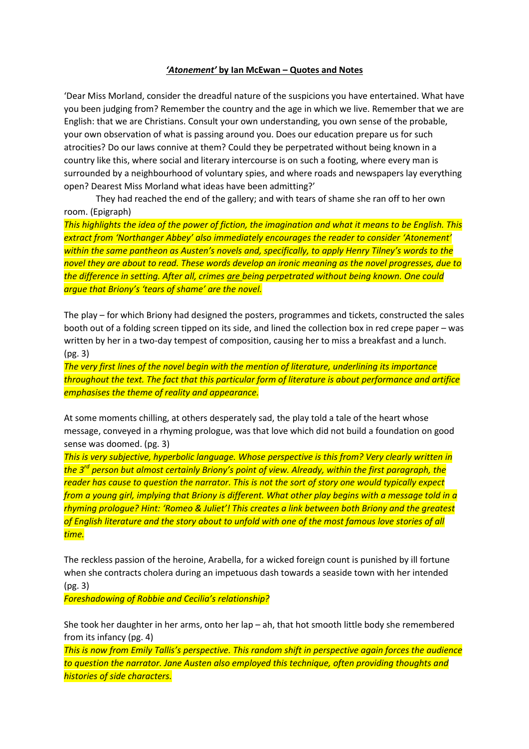# *'Atonement'* **by Ian McEwan – Quotes and Notes**

'Dear Miss Morland, consider the dreadful nature of the suspicions you have entertained. What have you been judging from? Remember the country and the age in which we live. Remember that we are English: that we are Christians. Consult your own understanding, you own sense of the probable, your own observation of what is passing around you. Does our education prepare us for such atrocities? Do our laws connive at them? Could they be perpetrated without being known in a country like this, where social and literary intercourse is on such a footing, where every man is surrounded by a neighbourhood of voluntary spies, and where roads and newspapers lay everything open? Dearest Miss Morland what ideas have been admitting?'

They had reached the end of the gallery; and with tears of shame she ran off to her own room. (Epigraph)

*This highlights the idea of the power of fiction, the imagination and what it means to be English. This extract from 'Northanger Abbey' also immediately encourages the reader to consider 'Atonement' within the same pantheon as Austen's novels and, specifically, to apply Henry Tilney's words to the novel they are about to read. These words develop an ironic meaning as the novel progresses, due to the difference in setting. After all, crimes are being perpetrated without being known. One could argue that Briony's 'tears of shame' are the novel.*

The play – for which Briony had designed the posters, programmes and tickets, constructed the sales booth out of a folding screen tipped on its side, and lined the collection box in red crepe paper – was written by her in a two-day tempest of composition, causing her to miss a breakfast and a lunch. (pg. 3)

*The very first lines of the novel begin with the mention of literature, underlining its importance throughout the text. The fact that this particular form of literature is about performance and artifice emphasises the theme of reality and appearance.*

At some moments chilling, at others desperately sad, the play told a tale of the heart whose message, conveyed in a rhyming prologue, was that love which did not build a foundation on good sense was doomed. (pg. 3)

*This is very subjective, hyperbolic language. Whose perspective is this from? Very clearly written in the 3rd person but almost certainly Briony's point of view. Already, within the first paragraph, the reader has cause to question the narrator. This is not the sort of story one would typically expect from a young girl, implying that Briony is different. What other play begins with a message told in a rhyming prologue? Hint: 'Romeo & Juliet'! This creates a link between both Briony and the greatest of English literature and the story about to unfold with one of the most famous love stories of all time.*

The reckless passion of the heroine, Arabella, for a wicked foreign count is punished by ill fortune when she contracts cholera during an impetuous dash towards a seaside town with her intended (pg. 3)

*Foreshadowing of Robbie and Cecilia's relationship?*

She took her daughter in her arms, onto her lap – ah, that hot smooth little body she remembered from its infancy (pg. 4)

*This is now from Emily Tallis's perspective. This random shift in perspective again forces the audience to question the narrator. Jane Austen also employed this technique, often providing thoughts and histories of side characters.*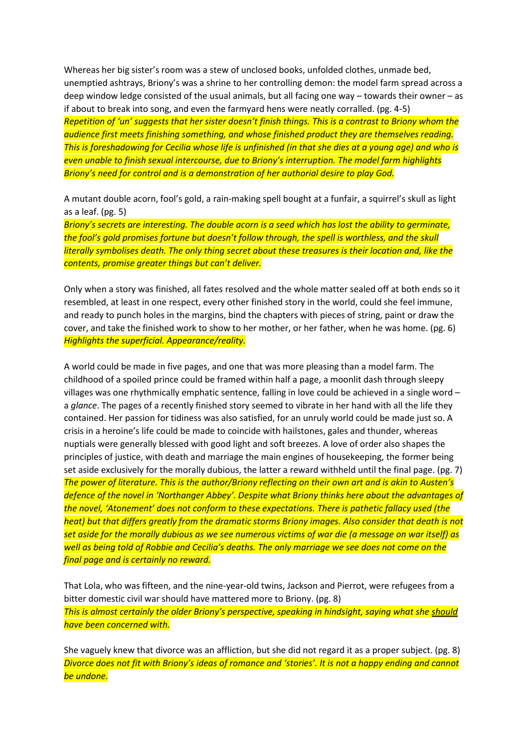Whereas her big sister's room was a stew of unclosed books, unfolded clothes, unmade bed, unemptied ashtrays, Briony's was a shrine to her controlling demon: the model farm spread across a deep window ledge consisted of the usual animals, but all facing one way – towards their owner – as if about to break into song, and even the farmyard hens were neatly corralled. (pg. 4-5) *Repetition of 'un' suggests that her sister doesn't finish things. This is a contrast to Briony whom the audience first meets finishing something, and whose finished product they are themselves reading. This is foreshadowing for Cecilia whose life is unfinished (in that she dies at a young age) and who is even unable to finish sexual intercourse, due to Briony's interruption. The model farm highlights Briony's need for control and is a demonstration of her authorial desire to play God.*

A mutant double acorn, fool's gold, a rain-making spell bought at a funfair, a squirrel's skull as light as a leaf. (pg. 5)

*Briony's secrets are interesting. The double acorn is a seed which has lost the ability to germinate, the fool's gold promises fortune but doesn't follow through, the spell is worthless, and the skull literally symbolises death. The only thing secret about these treasures is their location and, like the contents, promise greater things but can't deliver.*

Only when a story was finished, all fates resolved and the whole matter sealed off at both ends so it resembled, at least in one respect, every other finished story in the world, could she feel immune, and ready to punch holes in the margins, bind the chapters with pieces of string, paint or draw the cover, and take the finished work to show to her mother, or her father, when he was home. (pg. 6) *Highlights the superficial. Appearance/reality.*

A world could be made in five pages, and one that was more pleasing than a model farm. The childhood of a spoiled prince could be framed within half a page, a moonlit dash through sleepy villages was one rhythmically emphatic sentence, falling in love could be achieved in a single word – a *glance*. The pages of a recently finished story seemed to vibrate in her hand with all the life they contained. Her passion for tidiness was also satisfied, for an unruly world could be made just so. A crisis in a heroine's life could be made to coincide with hailstones, gales and thunder, whereas nuptials were generally blessed with good light and soft breezes. A love of order also shapes the principles of justice, with death and marriage the main engines of housekeeping, the former being set aside exclusively for the morally dubious, the latter a reward withheld until the final page. (pg. 7) *The power of literature. This is the author/Briony reflecting on their own art and is akin to Austen's defence of the novel in 'Northanger Abbey'. Despite what Briony thinks here about the advantages of the novel, 'Atonement' does not conform to these expectations. There is pathetic fallacy used (the heat) but that differs greatly from the dramatic storms Briony images. Also consider that death is not set aside for the morally dubious as we see numerous victims of war die (a message on war itself) as well as being told of Robbie and Cecilia's deaths. The only marriage we see does not come on the final page and is certainly no reward.* 

That Lola, who was fifteen, and the nine-year-old twins, Jackson and Pierrot, were refugees from a bitter domestic civil war should have mattered more to Briony. (pg. 8) *This is almost certainly the older Briony's perspective, speaking in hindsight, saying what she should have been concerned with.* 

She vaguely knew that divorce was an affliction, but she did not regard it as a proper subject. (pg. 8) *Divorce does not fit with Briony's ideas of romance and 'stories'. It is not a happy ending and cannot be undone.*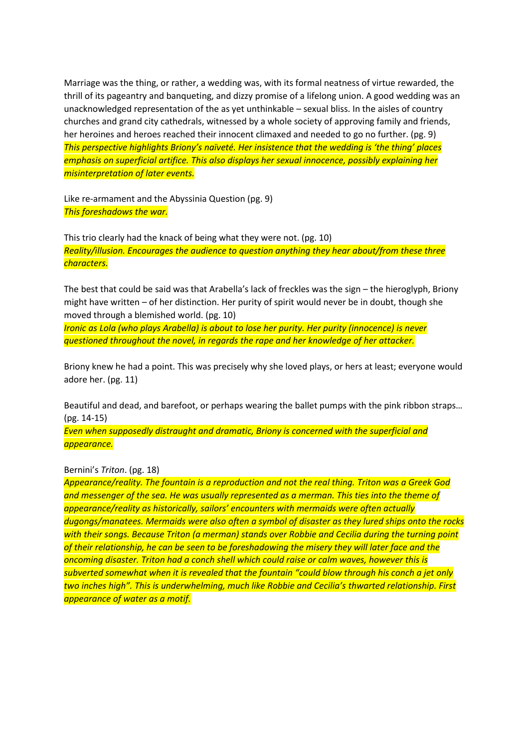Marriage was the thing, or rather, a wedding was, with its formal neatness of virtue rewarded, the thrill of its pageantry and banqueting, and dizzy promise of a lifelong union. A good wedding was an unacknowledged representation of the as yet unthinkable – sexual bliss. In the aisles of country churches and grand city cathedrals, witnessed by a whole society of approving family and friends, her heroines and heroes reached their innocent climaxed and needed to go no further. (pg. 9) *This perspective highlights Briony's naïveté. Her insistence that the wedding is 'the thing' places emphasis on superficial artifice. This also displays her sexual innocence, possibly explaining her misinterpretation of later events.*

Like re-armament and the Abyssinia Question (pg. 9) *This foreshadows the war.*

This trio clearly had the knack of being what they were not. (pg. 10) *Reality/illusion. Encourages the audience to question anything they hear about/from these three characters.*

The best that could be said was that Arabella's lack of freckles was the sign – the hieroglyph, Briony might have written – of her distinction. Her purity of spirit would never be in doubt, though she moved through a blemished world. (pg. 10)

*Ironic as Lola (who plays Arabella) is about to lose her purity. Her purity (innocence) is never questioned throughout the novel, in regards the rape and her knowledge of her attacker.*

Briony knew he had a point. This was precisely why she loved plays, or hers at least; everyone would adore her. (pg. 11)

Beautiful and dead, and barefoot, or perhaps wearing the ballet pumps with the pink ribbon straps… (pg. 14-15)

*Even when supposedly distraught and dramatic, Briony is concerned with the superficial and appearance.* 

## Bernini's *Triton*. (pg. 18)

*Appearance/reality. The fountain is a reproduction and not the real thing. Triton was a Greek God and messenger of the sea. He was usually represented as a merman. This ties into the theme of appearance/reality as historically, sailors' encounters with mermaids were often actually dugongs/manatees. Mermaids were also often a symbol of disaster as they lured ships onto the rocks with their songs. Because Triton (a merman) stands over Robbie and Cecilia during the turning point of their relationship, he can be seen to be foreshadowing the misery they will later face and the oncoming disaster. Triton had a conch shell which could raise or calm waves, however this is subverted somewhat when it is revealed that the fountain "could blow through his conch a jet only two inches high". This is underwhelming, much like Robbie and Cecilia's thwarted relationship. First appearance of water as a motif.*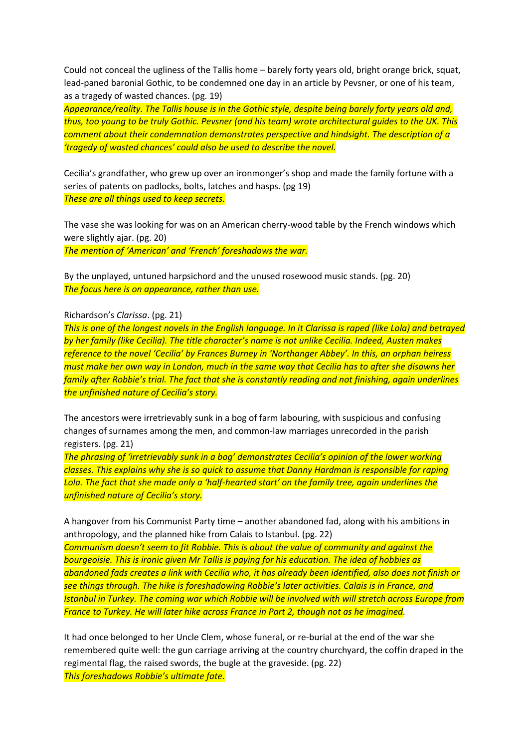Could not conceal the ugliness of the Tallis home – barely forty years old, bright orange brick, squat, lead-paned baronial Gothic, to be condemned one day in an article by Pevsner, or one of his team, as a tragedy of wasted chances. (pg. 19)

*Appearance/reality. The Tallis house is in the Gothic style, despite being barely forty years old and, thus, too young to be truly Gothic. Pevsner (and his team) wrote architectural guides to the UK. This comment about their condemnation demonstrates perspective and hindsight. The description of a 'tragedy of wasted chances' could also be used to describe the novel.*

Cecilia's grandfather, who grew up over an ironmonger's shop and made the family fortune with a series of patents on padlocks, bolts, latches and hasps. (pg 19) *These are all things used to keep secrets.* 

The vase she was looking for was on an American cherry-wood table by the French windows which were slightly ajar. (pg. 20)

*The mention of 'American' and 'French' foreshadows the war.* 

By the unplayed, untuned harpsichord and the unused rosewood music stands. (pg. 20) *The focus here is on appearance, rather than use.*

Richardson's *Clarissa*. (pg. 21)

*This is one of the longest novels in the English language. In it Clarissa is raped (like Lola) and betrayed by her family (like Cecilia). The title character's name is not unlike Cecilia. Indeed, Austen makes reference to the novel 'Cecilia' by Frances Burney in 'Northanger Abbey'. In this, an orphan heiress must make her own way in London, much in the same way that Cecilia has to after she disowns her family after Robbie's trial. The fact that she is constantly reading and not finishing, again underlines the unfinished nature of Cecilia's story.* 

The ancestors were irretrievably sunk in a bog of farm labouring, with suspicious and confusing changes of surnames among the men, and common-law marriages unrecorded in the parish registers. (pg. 21)

*The phrasing of 'irretrievably sunk in a bog' demonstrates Cecilia's opinion of the lower working classes. This explains why she is so quick to assume that Danny Hardman is responsible for raping Lola. The fact that she made only a 'half-hearted start' on the family tree, again underlines the unfinished nature of Cecilia's story.* 

A hangover from his Communist Party time – another abandoned fad, along with his ambitions in anthropology, and the planned hike from Calais to Istanbul. (pg. 22)

*Communism doesn't seem to fit Robbie. This is about the value of community and against the bourgeoisie. This is ironic given Mr Tallis is paying for his education. The idea of hobbies as abandoned fads creates a link with Cecilia who, it has already been identified, also does not finish or see things through. The hike is foreshadowing Robbie's later activities. Calais is in France, and Istanbul in Turkey. The coming war which Robbie will be involved with will stretch across Europe from France to Turkey. He will later hike across France in Part 2, though not as he imagined.* 

It had once belonged to her Uncle Clem, whose funeral, or re-burial at the end of the war she remembered quite well: the gun carriage arriving at the country churchyard, the coffin draped in the regimental flag, the raised swords, the bugle at the graveside. (pg. 22) *This foreshadows Robbie's ultimate fate.*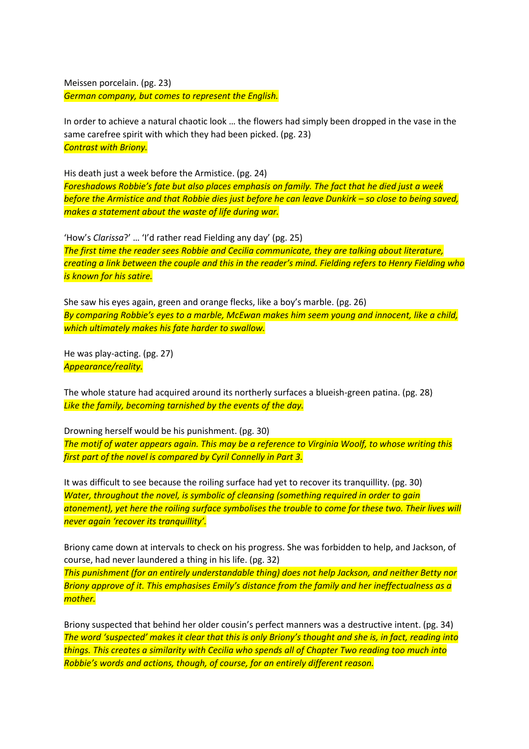Meissen porcelain. (pg. 23) *German company, but comes to represent the English.*

In order to achieve a natural chaotic look … the flowers had simply been dropped in the vase in the same carefree spirit with which they had been picked. (pg. 23) *Contrast with Briony.*

His death just a week before the Armistice. (pg. 24)

*Foreshadows Robbie's fate but also places emphasis on family. The fact that he died just a week before the Armistice and that Robbie dies just before he can leave Dunkirk – so close to being saved, makes a statement about the waste of life during war.*

'How's *Clarissa*?' … 'I'd rather read Fielding any day' (pg. 25) *The first time the reader sees Robbie and Cecilia communicate, they are talking about literature, creating a link between the couple and this in the reader's mind. Fielding refers to Henry Fielding who is known for his satire.*

She saw his eyes again, green and orange flecks, like a boy's marble. (pg. 26) *By comparing Robbie's eyes to a marble, McEwan makes him seem young and innocent, like a child, which ultimately makes his fate harder to swallow.*

He was play-acting. (pg. 27) *Appearance/reality.*

The whole stature had acquired around its northerly surfaces a blueish-green patina. (pg. 28) *Like the family, becoming tarnished by the events of the day.*

Drowning herself would be his punishment. (pg. 30)

*The motif of water appears again. This may be a reference to Virginia Woolf, to whose writing this first part of the novel is compared by Cyril Connelly in Part 3.* 

It was difficult to see because the roiling surface had yet to recover its tranquillity. (pg. 30) *Water, throughout the novel, is symbolic of cleansing (something required in order to gain atonement), yet here the roiling surface symbolises the trouble to come for these two. Their lives will never again 'recover its tranquillity'.*

Briony came down at intervals to check on his progress. She was forbidden to help, and Jackson, of course, had never laundered a thing in his life. (pg. 32)

*This punishment (for an entirely understandable thing) does not help Jackson, and neither Betty nor Briony approve of it. This emphasises Emily's distance from the family and her ineffectualness as a mother.* 

Briony suspected that behind her older cousin's perfect manners was a destructive intent. (pg. 34) *The word 'suspected' makes it clear that this is only Briony's thought and she is, in fact, reading into things. This creates a similarity with Cecilia who spends all of Chapter Two reading too much into Robbie's words and actions, though, of course, for an entirely different reason.*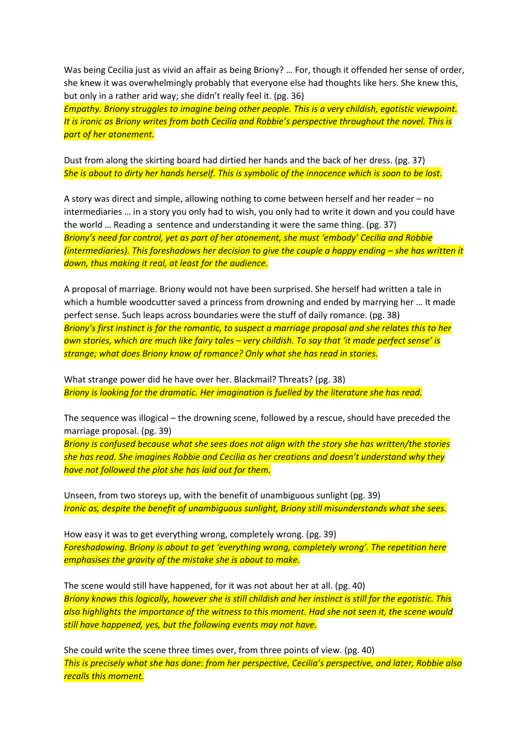Was being Cecilia just as vivid an affair as being Briony? ... For, though it offended her sense of order, she knew it was overwhelmingly probably that everyone else had thoughts like hers. She knew this, but only in a rather arid way; she didn't really feel it. (pg. 36)

*Empathy. Briony struggles to imagine being other people. This is a very childish, egotistic viewpoint. It is ironic as Briony writes from both Cecilia and Robbie's perspective throughout the novel. This is part of her atonement.* 

Dust from along the skirting board had dirtied her hands and the back of her dress. (pg. 37) *She is about to dirty her hands herself. This is symbolic of the innocence which is soon to be lost.* 

A story was direct and simple, allowing nothing to come between herself and her reader – no intermediaries … in a story you only had to wish, you only had to write it down and you could have the world … Reading a sentence and understanding it were the same thing. (pg. 37) *Briony's need for control, yet as part of her atonement, she must 'embody' Cecilia and Robbie (intermediaries). This foreshadows her decision to give the couple a happy ending – she has written it down, thus making it real, at least for the audience.*

A proposal of marriage. Briony would not have been surprised. She herself had written a tale in which a humble woodcutter saved a princess from drowning and ended by marrying her ... It made perfect sense. Such leaps across boundaries were the stuff of daily romance. (pg. 38) *Briony's first instinct is for the romantic, to suspect a marriage proposal and she relates this to her own stories, which are much like fairy tales – very childish. To say that 'it made perfect sense' is strange; what does Briony know of romance? Only what she has read in stories.*

What strange power did he have over her. Blackmail? Threats? (pg. 38) *Briony is looking for the dramatic. Her imagination is fuelled by the literature she has read.*

The sequence was illogical – the drowning scene, followed by a rescue, should have preceded the marriage proposal. (pg. 39)

*Briony is confused because what she sees does not align with the story she has written/the stories she has read. She imagines Robbie and Cecilia as her creations and doesn't understand why they have not followed the plot she has laid out for them.*

Unseen, from two storeys up, with the benefit of unambiguous sunlight (pg. 39) *Ironic as, despite the benefit of unambiguous sunlight, Briony still misunderstands what she sees.*

How easy it was to get everything wrong, completely wrong. (pg. 39) *Foreshadowing. Briony is about to get 'everything wrong, completely wrong'. The repetition here emphasises the gravity of the mistake she is about to make.*

The scene would still have happened, for it was not about her at all. (pg. 40) *Briony knows this logically, however she is still childish and her instinct is still for the egotistic. This also highlights the importance of the witness to this moment. Had she not seen it, the scene would still have happened, yes, but the following events may not have.*

She could write the scene three times over, from three points of view. (pg. 40) *This is precisely what she has done: from her perspective, Cecilia's perspective, and later, Robbie also recalls this moment.*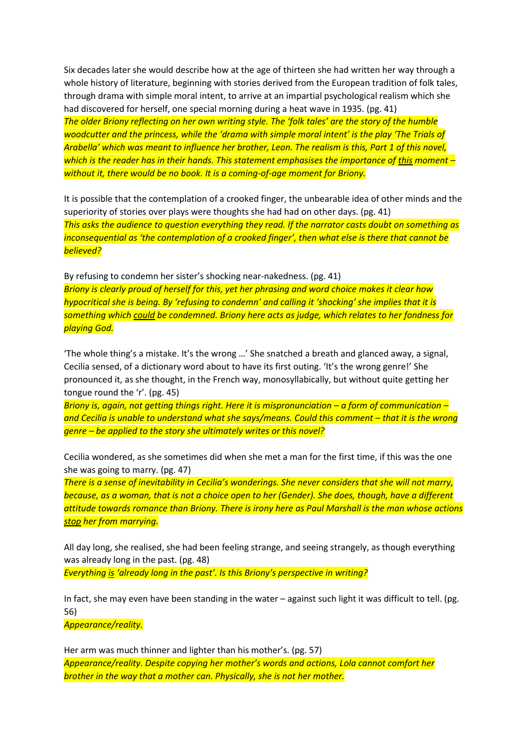Six decades later she would describe how at the age of thirteen she had written her way through a whole history of literature, beginning with stories derived from the European tradition of folk tales, through drama with simple moral intent, to arrive at an impartial psychological realism which she had discovered for herself, one special morning during a heat wave in 1935. (pg. 41) *The older Briony reflecting on her own writing style. The 'folk tales' are the story of the humble woodcutter and the princess, while the 'drama with simple moral intent' is the play 'The Trials of Arabella' which was meant to influence her brother, Leon. The realism is this, Part 1 of this novel, which is the reader has in their hands. This statement emphasises the importance of this moment – without it, there would be no book. It is a coming-of-age moment for Briony.*

It is possible that the contemplation of a crooked finger, the unbearable idea of other minds and the superiority of stories over plays were thoughts she had had on other days. (pg. 41) *This asks the audience to question everything they read. If the narrator casts doubt on something as inconsequential as 'the contemplation of a crooked finger', then what else is there that cannot be believed?*

By refusing to condemn her sister's shocking near-nakedness. (pg. 41) *Briony is clearly proud of herself for this, yet her phrasing and word choice makes it clear how hypocritical she is being. By 'refusing to condemn' and calling it 'shocking' she implies that it is something which could be condemned. Briony here acts as judge, which relates to her fondness for playing God.* 

'The whole thing's a mistake. It's the wrong …' She snatched a breath and glanced away, a signal, Cecilia sensed, of a dictionary word about to have its first outing. 'It's the wrong genre!' She pronounced it, as she thought, in the French way, monosyllabically, but without quite getting her tongue round the 'r'. (pg. 45)

*Briony is, again, not getting things right. Here it is mispronunciation – a form of communication – and Cecilia is unable to understand what she says/means. Could this comment – that it is the wrong genre – be applied to the story she ultimately writes or this novel?*

Cecilia wondered, as she sometimes did when she met a man for the first time, if this was the one she was going to marry. (pg. 47)

*There is a sense of inevitability in Cecilia's wonderings. She never considers that she will not marry, because, as a woman, that is not a choice open to her (Gender). She does, though, have a different attitude towards romance than Briony. There is irony here as Paul Marshall is the man whose actions stop her from marrying.*

All day long, she realised, she had been feeling strange, and seeing strangely, as though everything was already long in the past. (pg. 48)

*Everything is 'already long in the past'. Is this Briony's perspective in writing?*

In fact, she may even have been standing in the water – against such light it was difficult to tell. (pg. 56)

*Appearance/reality.*

Her arm was much thinner and lighter than his mother's. (pg. 57) *Appearance/reality. Despite copying her mother's words and actions, Lola cannot comfort her brother in the way that a mother can. Physically, she is not her mother.*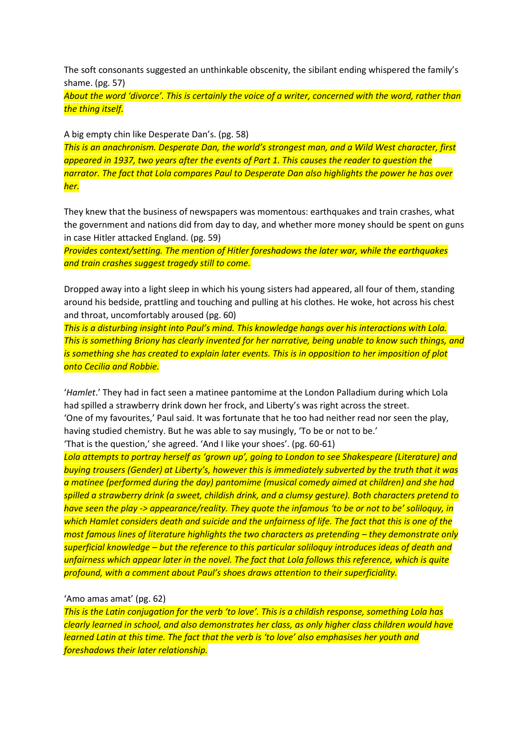The soft consonants suggested an unthinkable obscenity, the sibilant ending whispered the family's shame. (pg. 57)

*About the word 'divorce'. This is certainly the voice of a writer, concerned with the word, rather than the thing itself.*

A big empty chin like Desperate Dan's. (pg. 58)

*This is an anachronism. Desperate Dan, the world's strongest man, and a Wild West character, first appeared in 1937, two years after the events of Part 1. This causes the reader to question the narrator. The fact that Lola compares Paul to Desperate Dan also highlights the power he has over her.*

They knew that the business of newspapers was momentous: earthquakes and train crashes, what the government and nations did from day to day, and whether more money should be spent on guns in case Hitler attacked England. (pg. 59)

*Provides context/setting. The mention of Hitler foreshadows the later war, while the earthquakes and train crashes suggest tragedy still to come.*

Dropped away into a light sleep in which his young sisters had appeared, all four of them, standing around his bedside, prattling and touching and pulling at his clothes. He woke, hot across his chest and throat, uncomfortably aroused (pg. 60)

*This is a disturbing insight into Paul's mind. This knowledge hangs over his interactions with Lola. This is something Briony has clearly invented for her narrative, being unable to know such things, and is something she has created to explain later events. This is in opposition to her imposition of plot onto Cecilia and Robbie.*

'*Hamlet*.' They had in fact seen a matinee pantomime at the London Palladium during which Lola had spilled a strawberry drink down her frock, and Liberty's was right across the street. 'One of my favourites,' Paul said. It was fortunate that he too had neither read nor seen the play, having studied chemistry. But he was able to say musingly, 'To be or not to be.'

'That is the question,' she agreed. 'And I like your shoes'. (pg. 60-61)

*Lola attempts to portray herself as 'grown up', going to London to see Shakespeare (Literature) and buying trousers (Gender) at Liberty's, however this is immediately subverted by the truth that it was a matinee (performed during the day) pantomime (musical comedy aimed at children) and she had spilled a strawberry drink (a sweet, childish drink, and a clumsy gesture). Both characters pretend to have seen the play -> appearance/reality. They quote the infamous 'to be or not to be' soliloquy, in which Hamlet considers death and suicide and the unfairness of life. The fact that this is one of the most famous lines of literature highlights the two characters as pretending – they demonstrate only superficial knowledge – but the reference to this particular soliloquy introduces ideas of death and unfairness which appear later in the novel. The fact that Lola follows this reference, which is quite profound, with a comment about Paul's shoes draws attention to their superficiality.*

'Amo amas amat' (pg. 62)

*This is the Latin conjugation for the verb 'to love'. This is a childish response, something Lola has clearly learned in school, and also demonstrates her class, as only higher class children would have learned Latin at this time. The fact that the verb is 'to love' also emphasises her youth and foreshadows their later relationship.*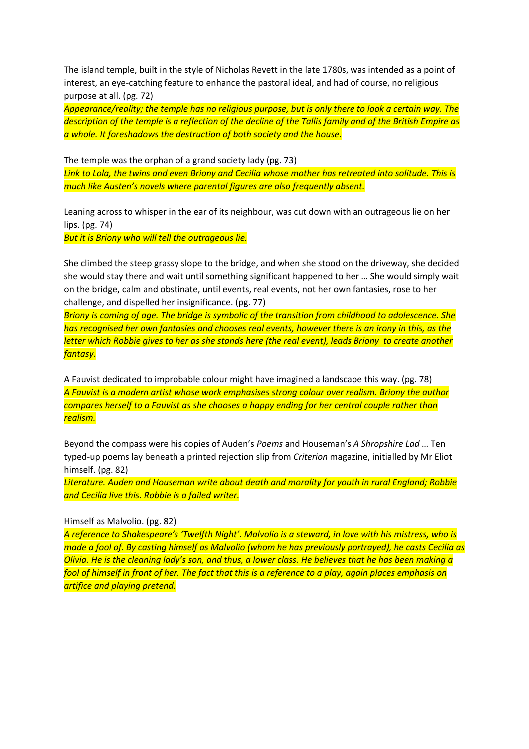The island temple, built in the style of Nicholas Revett in the late 1780s, was intended as a point of interest, an eye-catching feature to enhance the pastoral ideal, and had of course, no religious purpose at all. (pg. 72)

*Appearance/reality; the temple has no religious purpose, but is only there to look a certain way. The description of the temple is a reflection of the decline of the Tallis family and of the British Empire as a whole. It foreshadows the destruction of both society and the house.*

The temple was the orphan of a grand society lady (pg. 73) *Link to Lola, the twins and even Briony and Cecilia whose mother has retreated into solitude. This is much like Austen's novels where parental figures are also frequently absent.*

Leaning across to whisper in the ear of its neighbour, was cut down with an outrageous lie on her lips. (pg. 74)

*But it is Briony who will tell the outrageous lie.*

She climbed the steep grassy slope to the bridge, and when she stood on the driveway, she decided she would stay there and wait until something significant happened to her … She would simply wait on the bridge, calm and obstinate, until events, real events, not her own fantasies, rose to her challenge, and dispelled her insignificance. (pg. 77)

*Briony is coming of age. The bridge is symbolic of the transition from childhood to adolescence. She has recognised her own fantasies and chooses real events, however there is an irony in this, as the letter which Robbie gives to her as she stands here (the real event), leads Briony to create another fantasy.*

A Fauvist dedicated to improbable colour might have imagined a landscape this way. (pg. 78) *A Fauvist is a modern artist whose work emphasises strong colour over realism. Briony the author compares herself to a Fauvist as she chooses a happy ending for her central couple rather than realism.*

Beyond the compass were his copies of Auden's *Poems* and Houseman's *A Shropshire Lad* … Ten typed-up poems lay beneath a printed rejection slip from *Criterion* magazine, initialled by Mr Eliot himself. (pg. 82)

*Literature. Auden and Houseman write about death and morality for youth in rural England; Robbie and Cecilia live this. Robbie is a failed writer.*

## Himself as Malvolio. (pg. 82)

*A reference to Shakespeare's 'Twelfth Night'. Malvolio is a steward, in love with his mistress, who is made a fool of. By casting himself as Malvolio (whom he has previously portrayed), he casts Cecilia as Olivia. He is the cleaning lady's son, and thus, a lower class. He believes that he has been making a fool of himself in front of her. The fact that this is a reference to a play, again places emphasis on artifice and playing pretend.*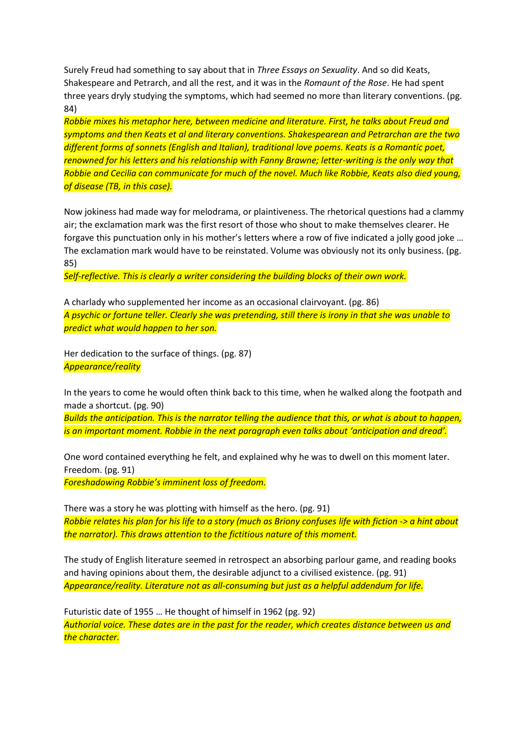Surely Freud had something to say about that in *Three Essays on Sexuality*. And so did Keats, Shakespeare and Petrarch, and all the rest, and it was in the *Romaunt of the Rose*. He had spent three years dryly studying the symptoms, which had seemed no more than literary conventions. (pg. 84)

*Robbie mixes his metaphor here, between medicine and literature. First, he talks about Freud and symptoms and then Keats et al and literary conventions. Shakespearean and Petrarchan are the two different forms of sonnets (English and Italian), traditional love poems. Keats is a Romantic poet, renowned for his letters and his relationship with Fanny Brawne; letter-writing is the only way that Robbie and Cecilia can communicate for much of the novel. Much like Robbie, Keats also died young, of disease (TB, in this case).*

Now jokiness had made way for melodrama, or plaintiveness. The rhetorical questions had a clammy air; the exclamation mark was the first resort of those who shout to make themselves clearer. He forgave this punctuation only in his mother's letters where a row of five indicated a jolly good joke … The exclamation mark would have to be reinstated. Volume was obviously not its only business. (pg. 85)

*Self-reflective. This is clearly a writer considering the building blocks of their own work.*

A charlady who supplemented her income as an occasional clairvoyant. (pg. 86) *A psychic or fortune teller. Clearly she was pretending, still there is irony in that she was unable to predict what would happen to her son.*

Her dedication to the surface of things. (pg. 87) *Appearance/reality*

In the years to come he would often think back to this time, when he walked along the footpath and made a shortcut. (pg. 90)

*Builds the anticipation. This is the narrator telling the audience that this, or what is about to happen, is an important moment. Robbie in the next paragraph even talks about 'anticipation and dread'.*

One word contained everything he felt, and explained why he was to dwell on this moment later. Freedom. (pg. 91)

*Foreshadowing Robbie's imminent loss of freedom.*

There was a story he was plotting with himself as the hero. (pg. 91) *Robbie relates his plan for his life to a story (much as Briony confuses life with fiction -> a hint about the narrator). This draws attention to the fictitious nature of this moment.*

The study of English literature seemed in retrospect an absorbing parlour game, and reading books and having opinions about them, the desirable adjunct to a civilised existence. (pg. 91) *Appearance/reality. Literature not as all-consuming but just as a helpful addendum for life.*

Futuristic date of 1955 … He thought of himself in 1962 (pg. 92) *Authorial voice. These dates are in the past for the reader, which creates distance between us and the character.*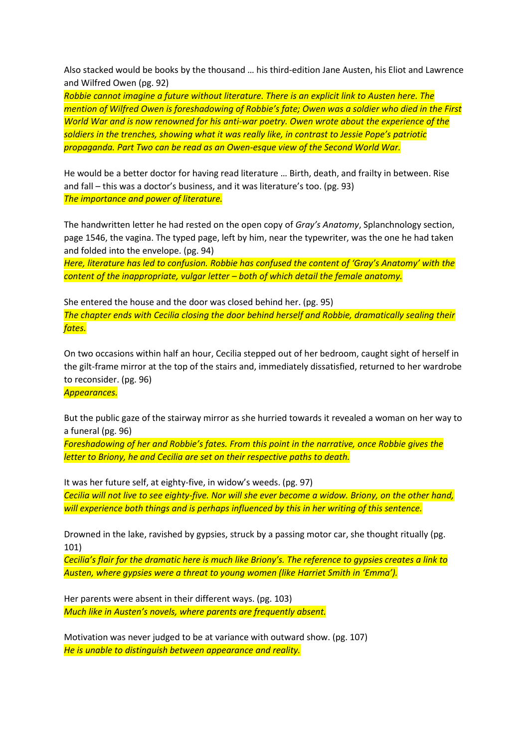Also stacked would be books by the thousand … his third-edition Jane Austen, his Eliot and Lawrence and Wilfred Owen (pg. 92)

*Robbie cannot imagine a future without literature. There is an explicit link to Austen here. The mention of Wilfred Owen is foreshadowing of Robbie's fate; Owen was a soldier who died in the First World War and is now renowned for his anti-war poetry. Owen wrote about the experience of the soldiers in the trenches, showing what it was really like, in contrast to Jessie Pope's patriotic propaganda. Part Two can be read as an Owen-esque view of the Second World War.*

He would be a better doctor for having read literature … Birth, death, and frailty in between. Rise and fall – this was a doctor's business, and it was literature's too. (pg. 93) *The importance and power of literature.*

The handwritten letter he had rested on the open copy of *Gray's Anatomy*, Splanchnology section, page 1546, the vagina. The typed page, left by him, near the typewriter, was the one he had taken and folded into the envelope. (pg. 94)

*Here, literature has led to confusion. Robbie has confused the content of 'Gray's Anatomy' with the content of the inappropriate, vulgar letter – both of which detail the female anatomy.*

She entered the house and the door was closed behind her. (pg. 95) *The chapter ends with Cecilia closing the door behind herself and Robbie, dramatically sealing their fates.* 

On two occasions within half an hour, Cecilia stepped out of her bedroom, caught sight of herself in the gilt-frame mirror at the top of the stairs and, immediately dissatisfied, returned to her wardrobe to reconsider. (pg. 96)

### *Appearances.*

But the public gaze of the stairway mirror as she hurried towards it revealed a woman on her way to a funeral (pg. 96)

*Foreshadowing of her and Robbie's fates. From this point in the narrative, once Robbie gives the letter to Briony, he and Cecilia are set on their respective paths to death.*

It was her future self, at eighty-five, in widow's weeds. (pg. 97) *Cecilia will not live to see eighty-five. Nor will she ever become a widow. Briony, on the other hand, will experience both things and is perhaps influenced by this in her writing of this sentence.*

Drowned in the lake, ravished by gypsies, struck by a passing motor car, she thought ritually (pg. 101)

*Cecilia's flair for the dramatic here is much like Briony's. The reference to gypsies creates a link to Austen, where gypsies were a threat to young women (like Harriet Smith in 'Emma').*

Her parents were absent in their different ways. (pg. 103) *Much like in Austen's novels, where parents are frequently absent.*

Motivation was never judged to be at variance with outward show. (pg. 107) *He is unable to distinguish between appearance and reality.*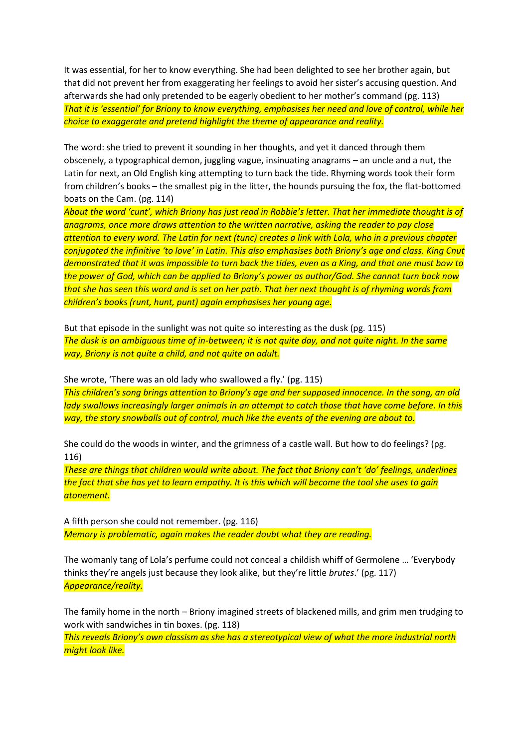It was essential, for her to know everything. She had been delighted to see her brother again, but that did not prevent her from exaggerating her feelings to avoid her sister's accusing question. And afterwards she had only pretended to be eagerly obedient to her mother's command (pg. 113) *That it is 'essential' for Briony to know everything, emphasises her need and love of control, while her choice to exaggerate and pretend highlight the theme of appearance and reality.*

The word: she tried to prevent it sounding in her thoughts, and yet it danced through them obscenely, a typographical demon, juggling vague, insinuating anagrams – an uncle and a nut, the Latin for next, an Old English king attempting to turn back the tide. Rhyming words took their form from children's books – the smallest pig in the litter, the hounds pursuing the fox, the flat-bottomed boats on the Cam. (pg. 114)

*About the word 'cunt', which Briony has just read in Robbie's letter. That her immediate thought is of anagrams, once more draws attention to the written narrative, asking the reader to pay close attention to every word. The Latin for next (tunc) creates a link with Lola, who in a previous chapter conjugated the infinitive 'to love' in Latin. This also emphasises both Briony's age and class. King Cnut demonstrated that it was impossible to turn back the tides, even as a King, and that one must bow to the power of God, which can be applied to Briony's power as author/God. She cannot turn back now that she has seen this word and is set on her path. That her next thought is of rhyming words from children's books (runt, hunt, punt) again emphasises her young age.*

But that episode in the sunlight was not quite so interesting as the dusk (pg. 115) *The dusk is an ambiguous time of in-between; it is not quite day, and not quite night. In the same way, Briony is not quite a child, and not quite an adult.*

She wrote, 'There was an old lady who swallowed a fly.' (pg. 115)

*This children's song brings attention to Briony's age and her supposed innocence. In the song, an old lady swallows increasingly larger animals in an attempt to catch those that have come before. In this way, the story snowballs out of control, much like the events of the evening are about to.*

She could do the woods in winter, and the grimness of a castle wall. But how to do feelings? (pg. 116)

*These are things that children would write about. The fact that Briony can't 'do' feelings, underlines the fact that she has yet to learn empathy. It is this which will become the tool she uses to gain atonement.*

A fifth person she could not remember. (pg. 116) *Memory is problematic, again makes the reader doubt what they are reading.*

The womanly tang of Lola's perfume could not conceal a childish whiff of Germolene … 'Everybody thinks they're angels just because they look alike, but they're little *brutes*.' (pg. 117) *Appearance/reality.* 

The family home in the north – Briony imagined streets of blackened mills, and grim men trudging to work with sandwiches in tin boxes. (pg. 118)

*This reveals Briony's own classism as she has a stereotypical view of what the more industrial north might look like.*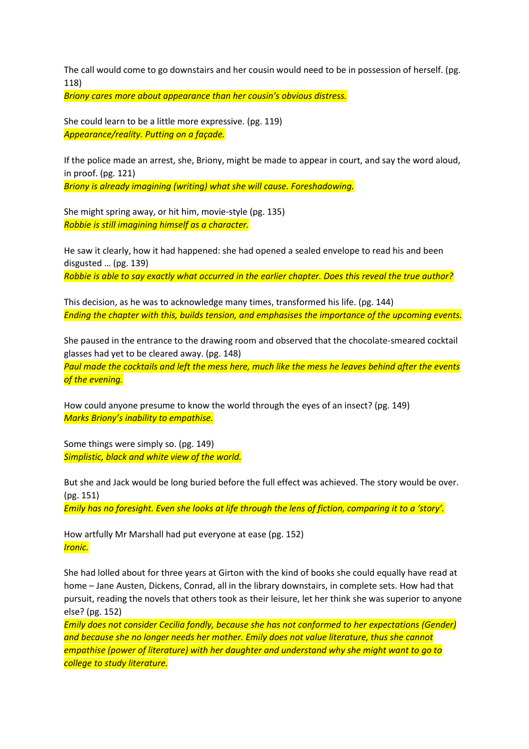The call would come to go downstairs and her cousin would need to be in possession of herself. (pg. 118)

*Briony cares more about appearance than her cousin's obvious distress.*

She could learn to be a little more expressive. (pg. 119) *Appearance/reality. Putting on a façade.*

If the police made an arrest, she, Briony, might be made to appear in court, and say the word aloud, in proof. (pg. 121)

*Briony is already imagining (writing) what she will cause. Foreshadowing.*

She might spring away, or hit him, movie-style (pg. 135) *Robbie is still imagining himself as a character.*

He saw it clearly, how it had happened: she had opened a sealed envelope to read his and been disgusted … (pg. 139) *Robbie is able to say exactly what occurred in the earlier chapter. Does this reveal the true author?*

This decision, as he was to acknowledge many times, transformed his life. (pg. 144) *Ending the chapter with this, builds tension, and emphasises the importance of the upcoming events.*

She paused in the entrance to the drawing room and observed that the chocolate-smeared cocktail glasses had yet to be cleared away. (pg. 148) *Paul made the cocktails and left the mess here, much like the mess he leaves behind after the events of the evening.*

How could anyone presume to know the world through the eyes of an insect? (pg. 149) *Marks Briony's inability to empathise.*

Some things were simply so. (pg. 149) *Simplistic, black and white view of the world.*

But she and Jack would be long buried before the full effect was achieved. The story would be over. (pg. 151)

*Emily has no foresight. Even she looks at life through the lens of fiction, comparing it to a 'story'.*

How artfully Mr Marshall had put everyone at ease (pg. 152) *Ironic.*

She had lolled about for three years at Girton with the kind of books she could equally have read at home – Jane Austen, Dickens, Conrad, all in the library downstairs, in complete sets. How had that pursuit, reading the novels that others took as their leisure, let her think she was superior to anyone else? (pg. 152)

*Emily does not consider Cecilia fondly, because she has not conformed to her expectations (Gender) and because she no longer needs her mother. Emily does not value literature, thus she cannot empathise (power of literature) with her daughter and understand why she might want to go to college to study literature.*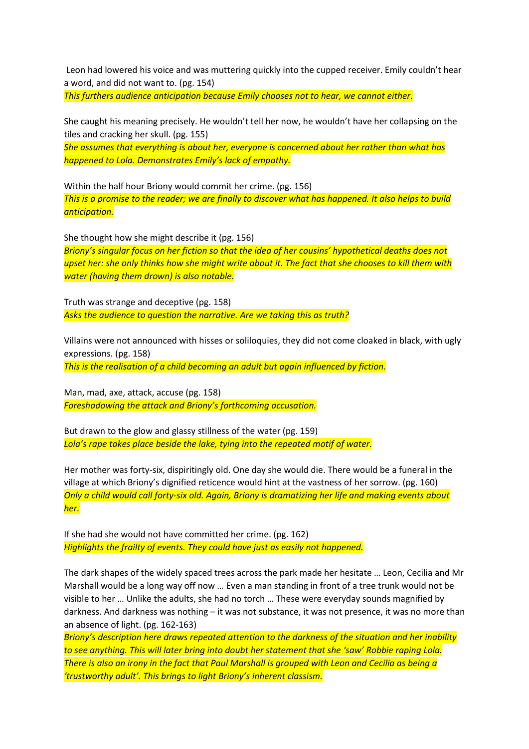Leon had lowered his voice and was muttering quickly into the cupped receiver. Emily couldn't hear a word, and did not want to. (pg. 154)

*This furthers audience anticipation because Emily chooses not to hear, we cannot either.*

She caught his meaning precisely. He wouldn't tell her now, he wouldn't have her collapsing on the tiles and cracking her skull. (pg. 155)

*She assumes that everything is about her, everyone is concerned about her rather than what has happened to Lola. Demonstrates Emily's lack of empathy.*

Within the half hour Briony would commit her crime. (pg. 156) *This is a promise to the reader; we are finally to discover what has happened. It also helps to build anticipation.*

She thought how she might describe it (pg. 156)

*Briony's singular focus on her fiction so that the idea of her cousins' hypothetical deaths does not upset her: she only thinks how she might write about it. The fact that she chooses to kill them with water (having them drown) is also notable.*

Truth was strange and deceptive (pg. 158) *Asks the audience to question the narrative. Are we taking this as truth?*

Villains were not announced with hisses or soliloquies, they did not come cloaked in black, with ugly expressions. (pg. 158)

*This is the realisation of a child becoming an adult but again influenced by fiction.*

Man, mad, axe, attack, accuse (pg. 158) *Foreshadowing the attack and Briony's forthcoming accusation.*

But drawn to the glow and glassy stillness of the water (pg. 159) *Lola's rape takes place beside the lake, tying into the repeated motif of water.*

Her mother was forty-six, dispiritingly old. One day she would die. There would be a funeral in the village at which Briony's dignified reticence would hint at the vastness of her sorrow. (pg. 160) *Only a child would call forty-six old. Again, Briony is dramatizing her life and making events about her.*

If she had she would not have committed her crime. (pg. 162) *Highlights the frailty of events. They could have just as easily not happened.*

The dark shapes of the widely spaced trees across the park made her hesitate … Leon, Cecilia and Mr Marshall would be a long way off now … Even a man standing in front of a tree trunk would not be visible to her … Unlike the adults, she had no torch … These were everyday sounds magnified by darkness. And darkness was nothing – it was not substance, it was not presence, it was no more than an absence of light. (pg. 162-163)

*Briony's description here draws repeated attention to the darkness of the situation and her inability to see anything. This will later bring into doubt her statement that she 'saw' Robbie raping Lola. There is also an irony in the fact that Paul Marshall is grouped with Leon and Cecilia as being a 'trustworthy adult'. This brings to light Briony's inherent classism.*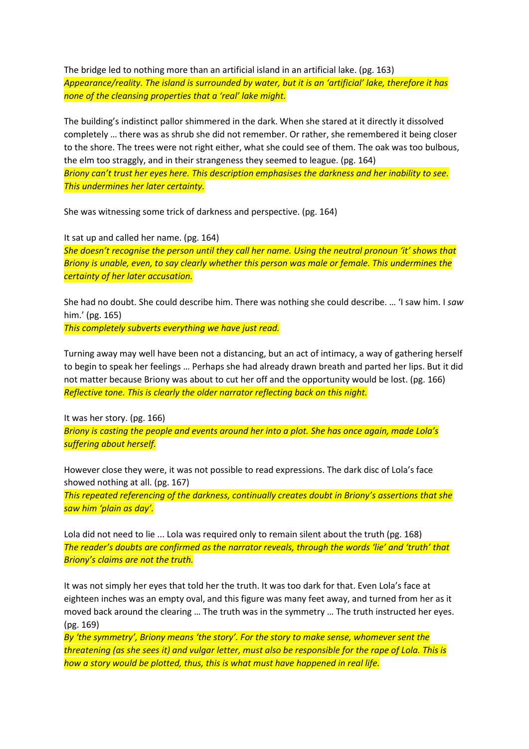The bridge led to nothing more than an artificial island in an artificial lake. (pg. 163) *Appearance/reality. The island is surrounded by water, but it is an 'artificial' lake, therefore it has none of the cleansing properties that a 'real' lake might.*

The building's indistinct pallor shimmered in the dark. When she stared at it directly it dissolved completely … there was as shrub she did not remember. Or rather, she remembered it being closer to the shore. The trees were not right either, what she could see of them. The oak was too bulbous, the elm too straggly, and in their strangeness they seemed to league. (pg. 164) *Briony can't trust her eyes here. This description emphasises the darkness and her inability to see. This undermines her later certainty.*

She was witnessing some trick of darkness and perspective. (pg. 164)

It sat up and called her name. (pg. 164)

*She doesn't recognise the person until they call her name. Using the neutral pronoun 'it' shows that Briony is unable, even, to say clearly whether this person was male or female. This undermines the certainty of her later accusation.*

She had no doubt. She could describe him. There was nothing she could describe. … 'I saw him. I *saw* him.' (pg. 165)

*This completely subverts everything we have just read.*

Turning away may well have been not a distancing, but an act of intimacy, a way of gathering herself to begin to speak her feelings … Perhaps she had already drawn breath and parted her lips. But it did not matter because Briony was about to cut her off and the opportunity would be lost. (pg. 166) *Reflective tone. This is clearly the older narrator reflecting back on this night.*

It was her story. (pg. 166) *Briony is casting the people and events around her into a plot. She has once again, made Lola's suffering about herself.* 

However close they were, it was not possible to read expressions. The dark disc of Lola's face showed nothing at all. (pg. 167)

*This repeated referencing of the darkness, continually creates doubt in Briony's assertions that she saw him 'plain as day'.* 

Lola did not need to lie ... Lola was required only to remain silent about the truth (pg. 168) *The reader's doubts are confirmed as the narrator reveals, through the words 'lie' and 'truth' that Briony's claims are not the truth.*

It was not simply her eyes that told her the truth. It was too dark for that. Even Lola's face at eighteen inches was an empty oval, and this figure was many feet away, and turned from her as it moved back around the clearing … The truth was in the symmetry … The truth instructed her eyes. (pg. 169)

*By 'the symmetry', Briony means 'the story'. For the story to make sense, whomever sent the threatening (as she sees it) and vulgar letter, must also be responsible for the rape of Lola. This is how a story would be plotted, thus, this is what must have happened in real life.*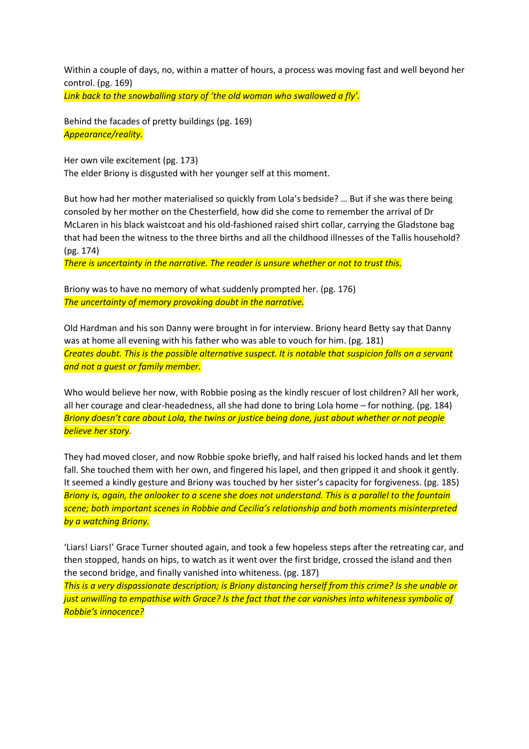Within a couple of days, no, within a matter of hours, a process was moving fast and well beyond her control. (pg. 169)

*Link back to the snowballing story of 'the old woman who swallowed a fly'.*

Behind the facades of pretty buildings (pg. 169) *Appearance/reality.*

Her own vile excitement (pg. 173) The elder Briony is disgusted with her younger self at this moment.

But how had her mother materialised so quickly from Lola's bedside? … But if she was there being consoled by her mother on the Chesterfield, how did she come to remember the arrival of Dr McLaren in his black waistcoat and his old-fashioned raised shirt collar, carrying the Gladstone bag that had been the witness to the three births and all the childhood illnesses of the Tallis household? (pg. 174)

*There is uncertainty in the narrative. The reader is unsure whether or not to trust this.*

Briony was to have no memory of what suddenly prompted her. (pg. 176) *The uncertainty of memory provoking doubt in the narrative.*

Old Hardman and his son Danny were brought in for interview. Briony heard Betty say that Danny was at home all evening with his father who was able to vouch for him. (pg. 181) *Creates doubt. This is the possible alternative suspect. It is notable that suspicion falls on a servant and not a guest or family member.*

Who would believe her now, with Robbie posing as the kindly rescuer of lost children? All her work, all her courage and clear-headedness, all she had done to bring Lola home – for nothing. (pg. 184) *Briony doesn't care about Lola, the twins or justice being done, just about whether or not people believe her story*.

They had moved closer, and now Robbie spoke briefly, and half raised his locked hands and let them fall. She touched them with her own, and fingered his lapel, and then gripped it and shook it gently. It seemed a kindly gesture and Briony was touched by her sister's capacity for forgiveness. (pg. 185) *Briony is, again, the onlooker to a scene she does not understand. This is a parallel to the fountain scene; both important scenes in Robbie and Cecilia's relationship and both moments misinterpreted by a watching Briony.*

'Liars! Liars!' Grace Turner shouted again, and took a few hopeless steps after the retreating car, and then stopped, hands on hips, to watch as it went over the first bridge, crossed the island and then the second bridge, and finally vanished into whiteness. (pg. 187)

*This is a very dispassionate description; is Briony distancing herself from this crime? Is she unable or just unwilling to empathise with Grace? Is the fact that the car vanishes into whiteness symbolic of Robbie's innocence?*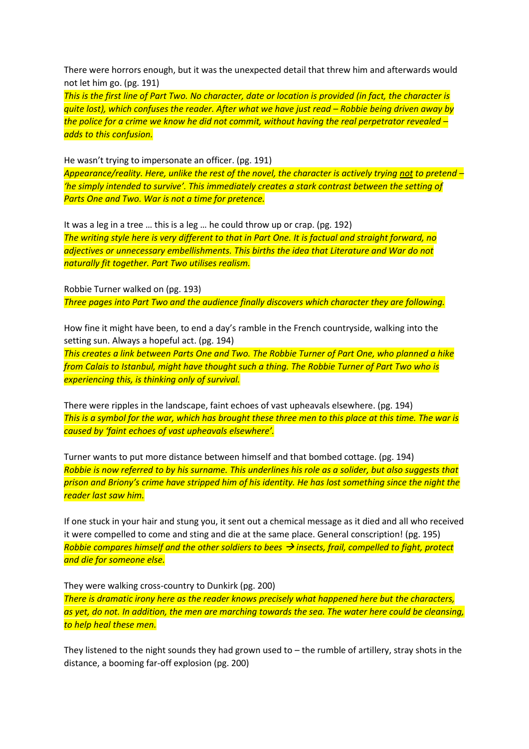There were horrors enough, but it was the unexpected detail that threw him and afterwards would not let him go. (pg. 191)

*This is the first line of Part Two. No character, date or location is provided (in fact, the character is quite lost), which confuses the reader. After what we have just read – Robbie being driven away by the police for a crime we know he did not commit, without having the real perpetrator revealed – adds to this confusion.*

He wasn't trying to impersonate an officer. (pg. 191)

*Appearance/reality. Here, unlike the rest of the novel, the character is actively trying not to pretend – 'he simply intended to survive'. This immediately creates a stark contrast between the setting of Parts One and Two. War is not a time for pretence.*

It was a leg in a tree … this is a leg … he could throw up or crap. (pg. 192)

*The writing style here is very different to that in Part One. It is factual and straight forward, no adjectives or unnecessary embellishments. This births the idea that Literature and War do not naturally fit together. Part Two utilises realism.*

Robbie Turner walked on (pg. 193) *Three pages into Part Two and the audience finally discovers which character they are following.*

How fine it might have been, to end a day's ramble in the French countryside, walking into the setting sun. Always a hopeful act. (pg. 194)

*This creates a link between Parts One and Two. The Robbie Turner of Part One, who planned a hike from Calais to Istanbul, might have thought such a thing. The Robbie Turner of Part Two who is experiencing this, is thinking only of survival.*

There were ripples in the landscape, faint echoes of vast upheavals elsewhere. (pg. 194) *This is a symbol for the war, which has brought these three men to this place at this time. The war is caused by 'faint echoes of vast upheavals elsewhere'.*

Turner wants to put more distance between himself and that bombed cottage. (pg. 194) *Robbie is now referred to by his surname. This underlines his role as a solider, but also suggests that prison and Briony's crime have stripped him of his identity. He has lost something since the night the reader last saw him.*

If one stuck in your hair and stung you, it sent out a chemical message as it died and all who received it were compelled to come and sting and die at the same place. General conscription! (pg. 195) *Robbie compares himself and the other soldiers to bees → insects, frail, compelled to fight, protect and die for someone else.*

They were walking cross-country to Dunkirk (pg. 200)

*There is dramatic irony here as the reader knows precisely what happened here but the characters, as yet, do not. In addition, the men are marching towards the sea. The water here could be cleansing, to help heal these men.*

They listened to the night sounds they had grown used to  $-$  the rumble of artillery, stray shots in the distance, a booming far-off explosion (pg. 200)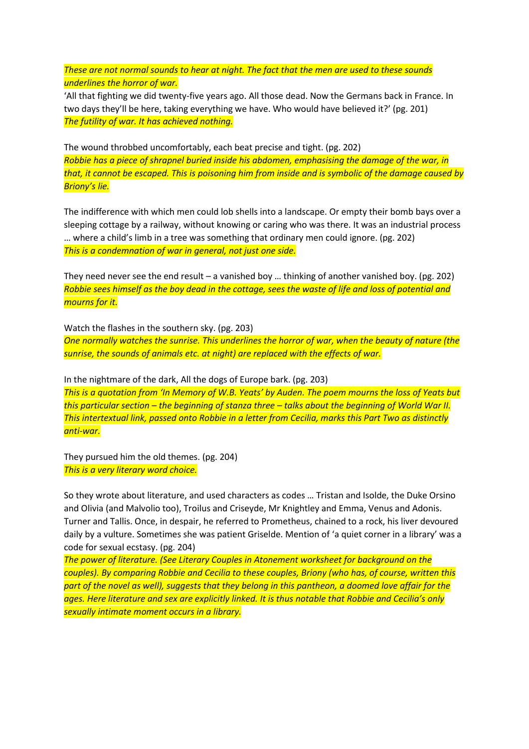*These are not normal sounds to hear at night. The fact that the men are used to these sounds underlines the horror of war.*

'All that fighting we did twenty-five years ago. All those dead. Now the Germans back in France. In two days they'll be here, taking everything we have. Who would have believed it?' (pg. 201) *The futility of war. It has achieved nothing.*

The wound throbbed uncomfortably, each beat precise and tight. (pg. 202) *Robbie has a piece of shrapnel buried inside his abdomen, emphasising the damage of the war, in that, it cannot be escaped. This is poisoning him from inside and is symbolic of the damage caused by Briony's lie.*

The indifference with which men could lob shells into a landscape. Or empty their bomb bays over a sleeping cottage by a railway, without knowing or caring who was there. It was an industrial process … where a child's limb in a tree was something that ordinary men could ignore. (pg. 202) *This is a condemnation of war in general, not just one side.*

They need never see the end result – a vanished boy … thinking of another vanished boy. (pg. 202) *Robbie sees himself as the boy dead in the cottage, sees the waste of life and loss of potential and mourns for it.*

Watch the flashes in the southern sky. (pg. 203)

*One normally watches the sunrise. This underlines the horror of war, when the beauty of nature (the sunrise, the sounds of animals etc. at night) are replaced with the effects of war.*

In the nightmare of the dark, All the dogs of Europe bark. (pg. 203) *This is a quotation from 'In Memory of W.B. Yeats' by Auden. The poem mourns the loss of Yeats but this particular section – the beginning of stanza three – talks about the beginning of World War II. This intertextual link, passed onto Robbie in a letter from Cecilia, marks this Part Two as distinctly anti-war.*

They pursued him the old themes. (pg. 204) *This is a very literary word choice.*

So they wrote about literature, and used characters as codes … Tristan and Isolde, the Duke Orsino and Olivia (and Malvolio too), Troilus and Criseyde, Mr Knightley and Emma, Venus and Adonis. Turner and Tallis. Once, in despair, he referred to Prometheus, chained to a rock, his liver devoured daily by a vulture. Sometimes she was patient Griselde. Mention of 'a quiet corner in a library' was a code for sexual ecstasy. (pg. 204)

*The power of literature. (See Literary Couples in Atonement worksheet for background on the couples). By comparing Robbie and Cecilia to these couples, Briony (who has, of course, written this part of the novel as well), suggests that they belong in this pantheon, a doomed love affair for the ages. Here literature and sex are explicitly linked. It is thus notable that Robbie and Cecilia's only sexually intimate moment occurs in a library.*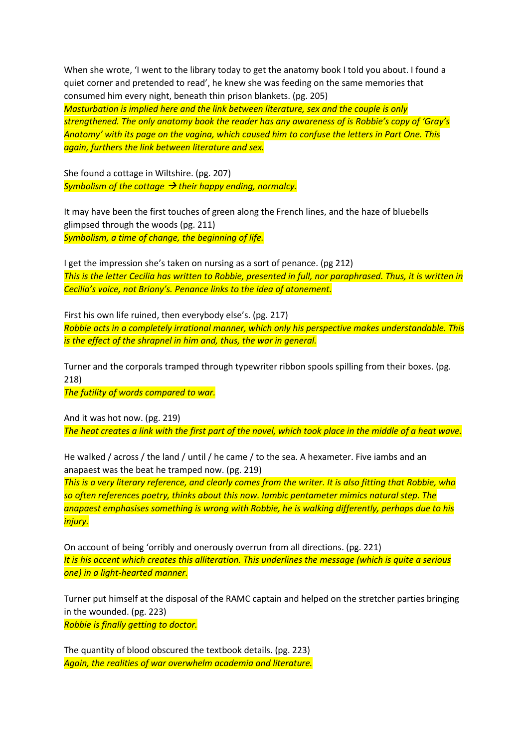When she wrote, 'I went to the library today to get the anatomy book I told you about. I found a quiet corner and pretended to read', he knew she was feeding on the same memories that consumed him every night, beneath thin prison blankets. (pg. 205) *Masturbation is implied here and the link between literature, sex and the couple is only strengthened. The only anatomy book the reader has any awareness of is Robbie's copy of 'Gray's Anatomy' with its page on the vagina, which caused him to confuse the letters in Part One. This again, furthers the link between literature and sex.*

She found a cottage in Wiltshire. (pg. 207) *Symbolism of the cottage their happy ending, normalcy.*

It may have been the first touches of green along the French lines, and the haze of bluebells glimpsed through the woods (pg. 211) *Symbolism, a time of change, the beginning of life.*

I get the impression she's taken on nursing as a sort of penance. (pg 212) *This is the letter Cecilia has written to Robbie, presented in full, nor paraphrased. Thus, it is written in Cecilia's voice, not Briony's. Penance links to the idea of atonement.*

First his own life ruined, then everybody else's. (pg. 217) *Robbie acts in a completely irrational manner, which only his perspective makes understandable. This is the effect of the shrapnel in him and, thus, the war in general.*

Turner and the corporals tramped through typewriter ribbon spools spilling from their boxes. (pg. 218)

*The futility of words compared to war.*

And it was hot now. (pg. 219) *The heat creates a link with the first part of the novel, which took place in the middle of a heat wave.*

He walked / across / the land / until / he came / to the sea. A hexameter. Five iambs and an anapaest was the beat he tramped now. (pg. 219)

*This is a very literary reference, and clearly comes from the writer. It is also fitting that Robbie, who so often references poetry, thinks about this now. Iambic pentameter mimics natural step. The anapaest emphasises something is wrong with Robbie, he is walking differently, perhaps due to his injury.*

On account of being 'orribly and onerously overrun from all directions. (pg. 221) *It is his accent which creates this alliteration. This underlines the message (which is quite a serious one) in a light-hearted manner.*

Turner put himself at the disposal of the RAMC captain and helped on the stretcher parties bringing in the wounded. (pg. 223) *Robbie is finally getting to doctor.*

The quantity of blood obscured the textbook details. (pg. 223) *Again, the realities of war overwhelm academia and literature.*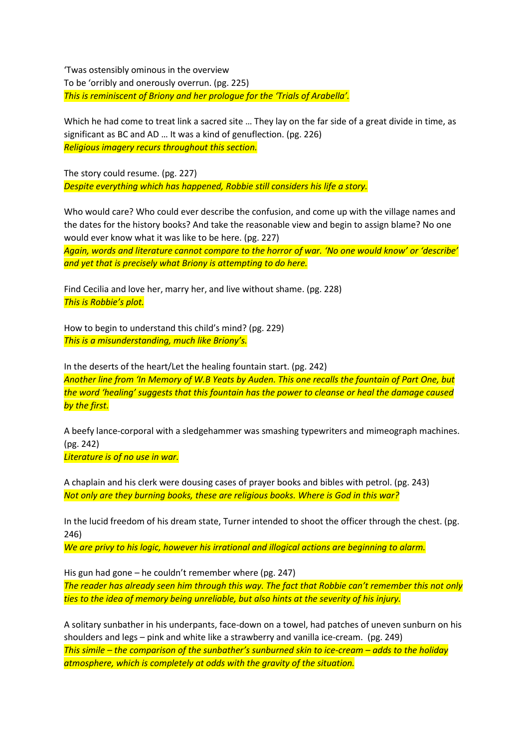'Twas ostensibly ominous in the overview To be 'orribly and onerously overrun. (pg. 225) *This is reminiscent of Briony and her prologue for the 'Trials of Arabella'.*

Which he had come to treat link a sacred site … They lay on the far side of a great divide in time, as significant as BC and AD … It was a kind of genuflection. (pg. 226) *Religious imagery recurs throughout this section.*

The story could resume. (pg. 227) *Despite everything which has happened, Robbie still considers his life a story.*

Who would care? Who could ever describe the confusion, and come up with the village names and the dates for the history books? And take the reasonable view and begin to assign blame? No one would ever know what it was like to be here. (pg. 227)

*Again, words and literature cannot compare to the horror of war. 'No one would know' or 'describe' and yet that is precisely what Briony is attempting to do here.*

Find Cecilia and love her, marry her, and live without shame. (pg. 228) *This is Robbie's plot.*

How to begin to understand this child's mind? (pg. 229) *This is a misunderstanding, much like Briony's.*

In the deserts of the heart/Let the healing fountain start. (pg. 242) *Another line from 'In Memory of W.B Yeats by Auden. This one recalls the fountain of Part One, but the word 'healing' suggests that this fountain has the power to cleanse or heal the damage caused by the first.*

A beefy lance-corporal with a sledgehammer was smashing typewriters and mimeograph machines. (pg. 242)

*Literature is of no use in war.*

A chaplain and his clerk were dousing cases of prayer books and bibles with petrol. (pg. 243) *Not only are they burning books, these are religious books. Where is God in this war?*

In the lucid freedom of his dream state, Turner intended to shoot the officer through the chest. (pg. 246)

*We are privy to his logic, however his irrational and illogical actions are beginning to alarm.*

His gun had gone – he couldn't remember where (pg. 247) *The reader has already seen him through this way. The fact that Robbie can't remember this not only ties to the idea of memory being unreliable, but also hints at the severity of his injury.*

A solitary sunbather in his underpants, face-down on a towel, had patches of uneven sunburn on his shoulders and legs – pink and white like a strawberry and vanilla ice-cream. (pg. 249) *This simile – the comparison of the sunbather's sunburned skin to ice-cream – adds to the holiday atmosphere, which is completely at odds with the gravity of the situation.*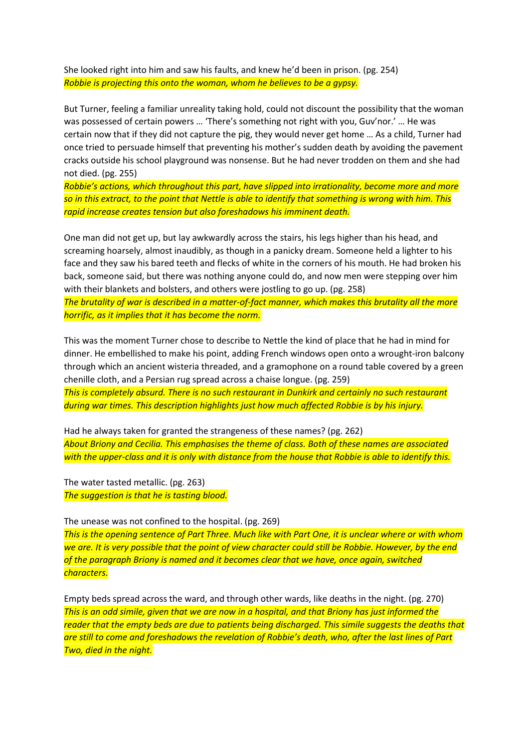She looked right into him and saw his faults, and knew he'd been in prison. (pg. 254) *Robbie is projecting this onto the woman, whom he believes to be a gypsy.*

But Turner, feeling a familiar unreality taking hold, could not discount the possibility that the woman was possessed of certain powers … 'There's something not right with you, Guv'nor.' … He was certain now that if they did not capture the pig, they would never get home … As a child, Turner had once tried to persuade himself that preventing his mother's sudden death by avoiding the pavement cracks outside his school playground was nonsense. But he had never trodden on them and she had not died. (pg. 255)

*Robbie's actions, which throughout this part, have slipped into irrationality, become more and more so in this extract, to the point that Nettle is able to identify that something is wrong with him. This rapid increase creates tension but also foreshadows his imminent death.*

One man did not get up, but lay awkwardly across the stairs, his legs higher than his head, and screaming hoarsely, almost inaudibly, as though in a panicky dream. Someone held a lighter to his face and they saw his bared teeth and flecks of white in the corners of his mouth. He had broken his back, someone said, but there was nothing anyone could do, and now men were stepping over him with their blankets and bolsters, and others were jostling to go up. (pg. 258)

*The brutality of war is described in a matter-of-fact manner, which makes this brutality all the more horrific, as it implies that it has become the norm.* 

This was the moment Turner chose to describe to Nettle the kind of place that he had in mind for dinner. He embellished to make his point, adding French windows open onto a wrought-iron balcony through which an ancient wisteria threaded, and a gramophone on a round table covered by a green chenille cloth, and a Persian rug spread across a chaise longue. (pg. 259) *This is completely absurd. There is no such restaurant in Dunkirk and certainly no such restaurant during war times. This description highlights just how much affected Robbie is by his injury.*

Had he always taken for granted the strangeness of these names? (pg. 262) *About Briony and Cecilia. This emphasises the theme of class. Both of these names are associated with the upper-class and it is only with distance from the house that Robbie is able to identify this.*

The water tasted metallic. (pg. 263) *The suggestion is that he is tasting blood.*

The unease was not confined to the hospital. (pg. 269)

*This is the opening sentence of Part Three. Much like with Part One, it is unclear where or with whom we are. It is very possible that the point of view character could still be Robbie. However, by the end of the paragraph Briony is named and it becomes clear that we have, once again, switched characters.*

Empty beds spread across the ward, and through other wards, like deaths in the night. (pg. 270) *This is an odd simile, given that we are now in a hospital, and that Briony has just informed the reader that the empty beds are due to patients being discharged. This simile suggests the deaths that are still to come and foreshadows the revelation of Robbie's death, who, after the last lines of Part Two, died in the night.*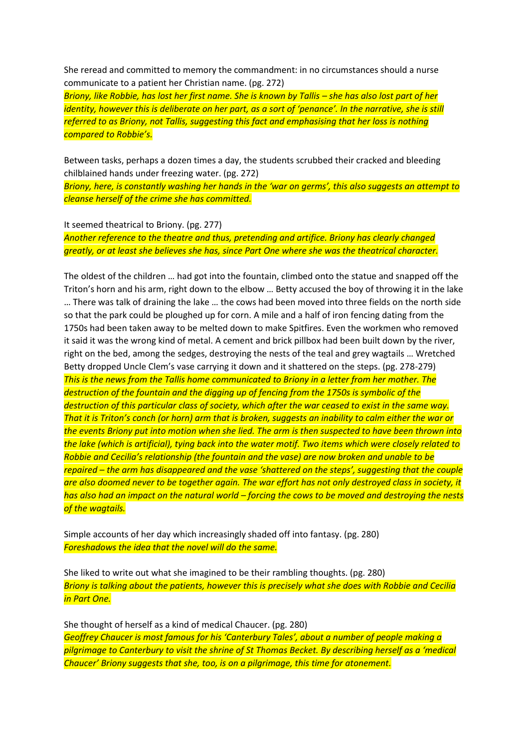She reread and committed to memory the commandment: in no circumstances should a nurse communicate to a patient her Christian name. (pg. 272)

*Briony, like Robbie, has lost her first name. She is known by Tallis – she has also lost part of her identity, however this is deliberate on her part, as a sort of 'penance'. In the narrative, she is still referred to as Briony, not Tallis, suggesting this fact and emphasising that her loss is nothing compared to Robbie's.*

Between tasks, perhaps a dozen times a day, the students scrubbed their cracked and bleeding chilblained hands under freezing water. (pg. 272)

*Briony, here, is constantly washing her hands in the 'war on germs', this also suggests an attempt to cleanse herself of the crime she has committed.*

It seemed theatrical to Briony. (pg. 277)

*Another reference to the theatre and thus, pretending and artifice. Briony has clearly changed greatly, or at least she believes she has, since Part One where she was the theatrical character.*

The oldest of the children … had got into the fountain, climbed onto the statue and snapped off the Triton's horn and his arm, right down to the elbow … Betty accused the boy of throwing it in the lake … There was talk of draining the lake … the cows had been moved into three fields on the north side so that the park could be ploughed up for corn. A mile and a half of iron fencing dating from the 1750s had been taken away to be melted down to make Spitfires. Even the workmen who removed it said it was the wrong kind of metal. A cement and brick pillbox had been built down by the river, right on the bed, among the sedges, destroying the nests of the teal and grey wagtails … Wretched Betty dropped Uncle Clem's vase carrying it down and it shattered on the steps. (pg. 278-279) *This is the news from the Tallis home communicated to Briony in a letter from her mother. The destruction of the fountain and the digging up of fencing from the 1750s is symbolic of the destruction of this particular class of society, which after the war ceased to exist in the same way. That it is Triton's conch (or horn) arm that is broken, suggests an inability to calm either the war or the events Briony put into motion when she lied. The arm is then suspected to have been thrown into the lake (which is artificial), tying back into the water motif. Two items which were closely related to Robbie and Cecilia's relationship (the fountain and the vase) are now broken and unable to be repaired – the arm has disappeared and the vase 'shattered on the steps', suggesting that the couple are also doomed never to be together again. The war effort has not only destroyed class in society, it has also had an impact on the natural world – forcing the cows to be moved and destroying the nests of the wagtails.*

Simple accounts of her day which increasingly shaded off into fantasy. (pg. 280) *Foreshadows the idea that the novel will do the same.*

She liked to write out what she imagined to be their rambling thoughts. (pg. 280) *Briony is talking about the patients, however this is precisely what she does with Robbie and Cecilia in Part One.*

She thought of herself as a kind of medical Chaucer. (pg. 280) *Geoffrey Chaucer is most famous for his 'Canterbury Tales', about a number of people making a pilgrimage to Canterbury to visit the shrine of St Thomas Becket. By describing herself as a 'medical Chaucer' Briony suggests that she, too, is on a pilgrimage, this time for atonement.*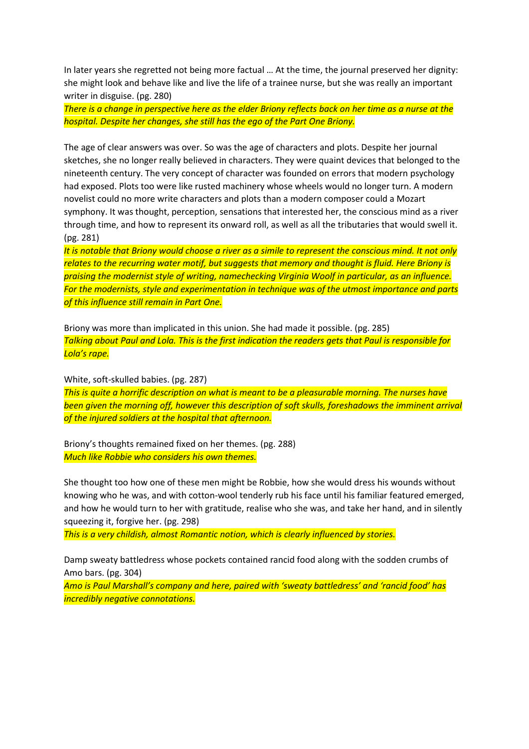In later years she regretted not being more factual … At the time, the journal preserved her dignity: she might look and behave like and live the life of a trainee nurse, but she was really an important writer in disguise. (pg. 280)

*There is a change in perspective here as the elder Briony reflects back on her time as a nurse at the hospital. Despite her changes, she still has the ego of the Part One Briony.*

The age of clear answers was over. So was the age of characters and plots. Despite her journal sketches, she no longer really believed in characters. They were quaint devices that belonged to the nineteenth century. The very concept of character was founded on errors that modern psychology had exposed. Plots too were like rusted machinery whose wheels would no longer turn. A modern novelist could no more write characters and plots than a modern composer could a Mozart symphony. It was thought, perception, sensations that interested her, the conscious mind as a river through time, and how to represent its onward roll, as well as all the tributaries that would swell it. (pg. 281)

*It is notable that Briony would choose a river as a simile to represent the conscious mind. It not only relates to the recurring water motif, but suggests that memory and thought is fluid. Here Briony is praising the modernist style of writing, namechecking Virginia Woolf in particular, as an influence. For the modernists, style and experimentation in technique was of the utmost importance and parts of this influence still remain in Part One.*

Briony was more than implicated in this union. She had made it possible. (pg. 285) *Talking about Paul and Lola. This is the first indication the readers gets that Paul is responsible for Lola's rape.*

White, soft-skulled babies. (pg. 287)

*This is quite a horrific description on what is meant to be a pleasurable morning. The nurses have been given the morning off, however this description of soft skulls, foreshadows the imminent arrival of the injured soldiers at the hospital that afternoon.*

Briony's thoughts remained fixed on her themes. (pg. 288) *Much like Robbie who considers his own themes.*

She thought too how one of these men might be Robbie, how she would dress his wounds without knowing who he was, and with cotton-wool tenderly rub his face until his familiar featured emerged, and how he would turn to her with gratitude, realise who she was, and take her hand, and in silently squeezing it, forgive her. (pg. 298)

*This is a very childish, almost Romantic notion, which is clearly influenced by stories.*

Damp sweaty battledress whose pockets contained rancid food along with the sodden crumbs of Amo bars. (pg. 304)

*Amo is Paul Marshall's company and here, paired with 'sweaty battledress' and 'rancid food' has incredibly negative connotations.*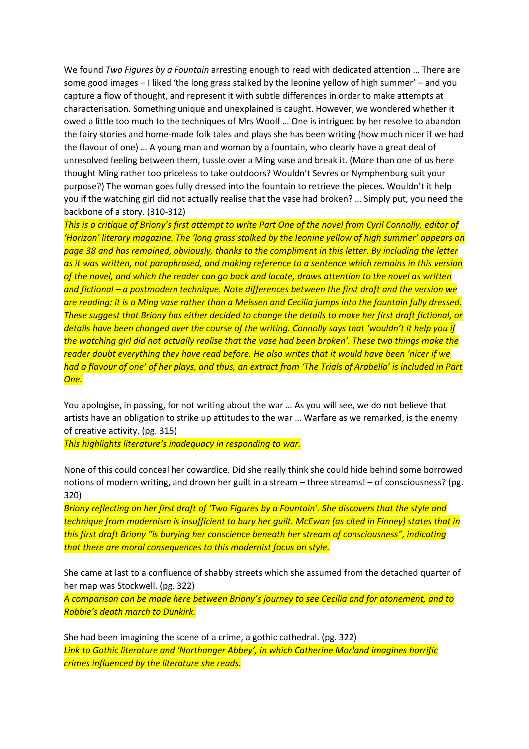We found *Two Figures by a Fountain* arresting enough to read with dedicated attention … There are some good images – I liked 'the long grass stalked by the leonine yellow of high summer' – and you capture a flow of thought, and represent it with subtle differences in order to make attempts at characterisation. Something unique and unexplained is caught. However, we wondered whether it owed a little too much to the techniques of Mrs Woolf … One is intrigued by her resolve to abandon the fairy stories and home-made folk tales and plays she has been writing (how much nicer if we had the flavour of one) … A young man and woman by a fountain, who clearly have a great deal of unresolved feeling between them, tussle over a Ming vase and break it. (More than one of us here thought Ming rather too priceless to take outdoors? Wouldn't Sevres or Nymphenburg suit your purpose?) The woman goes fully dressed into the fountain to retrieve the pieces. Wouldn't it help you if the watching girl did not actually realise that the vase had broken? … Simply put, you need the backbone of a story. (310-312)

*This is a critique of Briony's first attempt to write Part One of the novel from Cyril Connolly, editor of 'Horizon' literary magazine. The 'long grass stalked by the leonine yellow of high summer' appears on page 38 and has remained, obviously, thanks to the compliment in this letter. By including the letter as it was written, not paraphrased, and making reference to a sentence which remains in this version of the novel, and which the reader can go back and locate, draws attention to the novel as written and fictional – a postmodern technique. Note differences between the first draft and the version we are reading: it is a Ming vase rather than a Meissen and Cecilia jumps into the fountain fully dressed. These suggest that Briony has either decided to change the details to make her first draft fictional, or details have been changed over the course of the writing. Connolly says that 'wouldn't it help you if the watching girl did not actually realise that the vase had been broken'. These two things make the reader doubt everything they have read before. He also writes that it would have been 'nicer if we had a flavour of one' of her plays, and thus, an extract from 'The Trials of Arabella' is included in Part One.* 

You apologise, in passing, for not writing about the war … As you will see, we do not believe that artists have an obligation to strike up attitudes to the war … Warfare as we remarked, is the enemy of creative activity. (pg. 315)

*This highlights literature's inadequacy in responding to war.*

None of this could conceal her cowardice. Did she really think she could hide behind some borrowed notions of modern writing, and drown her guilt in a stream – three streams! – of consciousness? (pg. 320)

*Briony reflecting on her first draft of 'Two Figures by a Fountain'. She discovers that the style and technique from modernism is insufficient to bury her guilt. McEwan (as cited in Finney) states that in this first draft Briony "is burying her conscience beneath her stream of consciousness", indicating that there are moral consequences to this modernist focus on style.*

She came at last to a confluence of shabby streets which she assumed from the detached quarter of her map was Stockwell. (pg. 322)

*A comparison can be made here between Briony's journey to see Cecilia and for atonement, and to Robbie's death march to Dunkirk.*

She had been imagining the scene of a crime, a gothic cathedral. (pg. 322) *Link to Gothic literature and 'Northanger Abbey', in which Catherine Morland imagines horrific crimes influenced by the literature she reads.*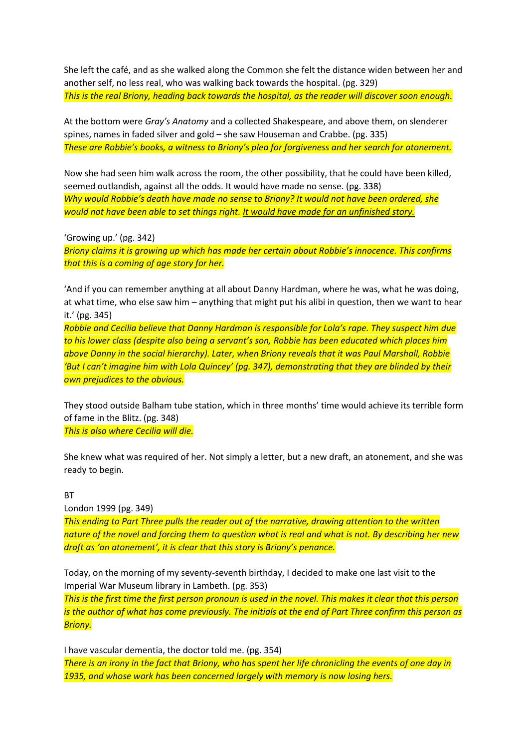She left the café, and as she walked along the Common she felt the distance widen between her and another self, no less real, who was walking back towards the hospital. (pg. 329) *This is the real Briony, heading back towards the hospital, as the reader will discover soon enough.*

At the bottom were *Gray's Anatomy* and a collected Shakespeare, and above them, on slenderer spines, names in faded silver and gold – she saw Houseman and Crabbe. (pg. 335) *These are Robbie's books, a witness to Briony's plea for forgiveness and her search for atonement.*

Now she had seen him walk across the room, the other possibility, that he could have been killed, seemed outlandish, against all the odds. It would have made no sense. (pg. 338) *Why would Robbie's death have made no sense to Briony? It would not have been ordered, she would not have been able to set things right. It would have made for an unfinished story.*

'Growing up.' (pg. 342)

*Briony claims it is growing up which has made her certain about Robbie's innocence. This confirms that this is a coming of age story for her.*

'And if you can remember anything at all about Danny Hardman, where he was, what he was doing, at what time, who else saw him – anything that might put his alibi in question, then we want to hear it.' (pg. 345)

*Robbie and Cecilia believe that Danny Hardman is responsible for Lola's rape. They suspect him due to his lower class (despite also being a servant's son, Robbie has been educated which places him above Danny in the social hierarchy). Later, when Briony reveals that it was Paul Marshall, Robbie 'But I can't imagine him with Lola Quincey' (pg. 347), demonstrating that they are blinded by their own prejudices to the obvious.*

They stood outside Balham tube station, which in three months' time would achieve its terrible form of fame in the Blitz. (pg. 348)

*This is also where Cecilia will die.*

She knew what was required of her. Not simply a letter, but a new draft, an atonement, and she was ready to begin.

## BT

London 1999 (pg. 349)

*This ending to Part Three pulls the reader out of the narrative, drawing attention to the written nature of the novel and forcing them to question what is real and what is not. By describing her new draft as 'an atonement', it is clear that this story is Briony's penance.*

Today, on the morning of my seventy-seventh birthday, I decided to make one last visit to the Imperial War Museum library in Lambeth. (pg. 353)

*This is the first time the first person pronoun is used in the novel. This makes it clear that this person is the author of what has come previously. The initials at the end of Part Three confirm this person as Briony.*

I have vascular dementia, the doctor told me. (pg. 354) *There is an irony in the fact that Briony, who has spent her life chronicling the events of one day in 1935, and whose work has been concerned largely with memory is now losing hers.*